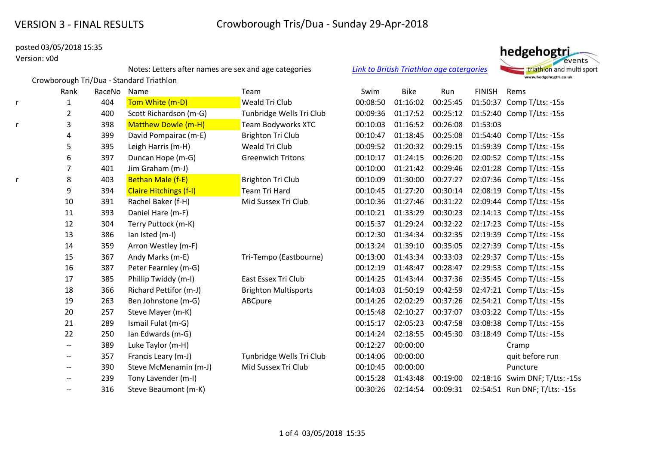Crowborough Tri/Dua - Standard Triathlon

# posted 03/05/2018 15:35

# Version: v0d

Notes: Letters after names are sex and age categories *[Link to British Triathlon age catergories](https://www.britishtriathlon.org/about-us/faqs?category=age-group)*



|   | Rank                     | RaceNo | Name                          | Team                        | Swim     | <b>Bike</b> | Run      | <b>FINISH</b> | Rems                           |
|---|--------------------------|--------|-------------------------------|-----------------------------|----------|-------------|----------|---------------|--------------------------------|
| r | 1                        | 404    | Tom White (m-D)               | <b>Weald Tri Club</b>       | 00:08:50 | 01:16:02    | 00:25:45 | 01:50:37      | Comp T/Lts: -15s               |
|   | $\overline{2}$           | 400    | Scott Richardson (m-G)        | Tunbridge Wells Tri Club    | 00:09:36 | 01:17:52    | 00:25:12 |               | 01:52:40 Comp T/Lts: -15s      |
| r | 3                        | 398    | <b>Matthew Dowle (m-H)</b>    | <b>Team Bodyworks XTC</b>   | 00:10:03 | 01:16:52    | 00:26:08 | 01:53:03      |                                |
|   | 4                        | 399    | David Pompairac (m-E)         | <b>Brighton Tri Club</b>    | 00:10:47 | 01:18:45    | 00:25:08 |               | 01:54:40 Comp T/Lts: -15s      |
|   | 5                        | 395    | Leigh Harris (m-H)            | Weald Tri Club              | 00:09:52 | 01:20:32    | 00:29:15 |               | 01:59:39 Comp T/Lts: -15s      |
|   | 6                        | 397    | Duncan Hope (m-G)             | <b>Greenwich Tritons</b>    | 00:10:17 | 01:24:15    | 00:26:20 |               | 02:00:52 Comp T/Lts: -15s      |
|   | 7                        | 401    | Jim Graham (m-J)              |                             | 00:10:00 | 01:21:42    | 00:29:46 |               | 02:01:28 Comp T/Lts: -15s      |
|   | 8                        | 403    | Bethan Male (f-E)             | <b>Brighton Tri Club</b>    | 00:10:09 | 01:30:00    | 00:27:27 |               | 02:07:36 Comp T/Lts: -15s      |
|   | 9                        | 394    | <b>Claire Hitchings (f-I)</b> | <b>Team Tri Hard</b>        | 00:10:45 | 01:27:20    | 00:30:14 |               | 02:08:19 Comp T/Lts: -15s      |
|   | 10                       | 391    | Rachel Baker (f-H)            | Mid Sussex Tri Club         | 00:10:36 | 01:27:46    | 00:31:22 |               | 02:09:44 Comp T/Lts: -15s      |
|   | 11                       | 393    | Daniel Hare (m-F)             |                             | 00:10:21 | 01:33:29    | 00:30:23 |               | 02:14:13 Comp T/Lts: -15s      |
|   | 12                       | 304    | Terry Puttock (m-K)           |                             | 00:15:37 | 01:29:24    | 00:32:22 |               | 02:17:23 Comp T/Lts: -15s      |
|   | 13                       | 386    | lan Isted (m-I)               |                             | 00:12:30 | 01:34:34    | 00:32:35 |               | 02:19:39 Comp T/Lts: -15s      |
|   | 14                       | 359    | Arron Westley (m-F)           |                             | 00:13:24 | 01:39:10    | 00:35:05 |               | 02:27:39 Comp T/Lts: -15s      |
|   | 15                       | 367    | Andy Marks (m-E)              | Tri-Tempo (Eastbourne)      | 00:13:00 | 01:43:34    | 00:33:03 |               | 02:29:37 Comp T/Lts: -15s      |
|   | 16                       | 387    | Peter Fearnley (m-G)          |                             | 00:12:19 | 01:48:47    | 00:28:47 |               | 02:29:53 Comp T/Lts: -15s      |
|   | 17                       | 385    | Phillip Twiddy (m-I)          | East Essex Tri Club         | 00:14:25 | 01:43:44    | 00:37:36 |               | 02:35:45 Comp T/Lts: -15s      |
|   | 18                       | 366    | Richard Pettifor (m-J)        | <b>Brighton Multisports</b> | 00:14:03 | 01:50:19    | 00:42:59 |               | 02:47:21 Comp T/Lts: -15s      |
|   | 19                       | 263    | Ben Johnstone (m-G)           | ABCpure                     | 00:14:26 | 02:02:29    | 00:37:26 |               | 02:54:21 Comp T/Lts: -15s      |
|   | 20                       | 257    | Steve Mayer (m-K)             |                             | 00:15:48 | 02:10:27    | 00:37:07 |               | 03:03:22 Comp T/Lts: -15s      |
|   | 21                       | 289    | Ismail Fulat (m-G)            |                             | 00:15:17 | 02:05:23    | 00:47:58 |               | 03:08:38 Comp T/Lts: -15s      |
|   | 22                       | 250    | Ian Edwards (m-G)             |                             | 00:14:24 | 02:18:55    | 00:45:30 |               | 03:18:49 Comp T/Lts: -15s      |
|   | $\overline{\phantom{m}}$ | 389    | Luke Taylor (m-H)             |                             | 00:12:27 | 00:00:00    |          |               | Cramp                          |
|   | $- -$                    | 357    | Francis Leary (m-J)           | Tunbridge Wells Tri Club    | 00:14:06 | 00:00:00    |          |               | quit before run                |
|   | $\overline{\phantom{m}}$ | 390    | Steve McMenamin (m-J)         | Mid Sussex Tri Club         | 00:10:45 | 00:00:00    |          |               | Puncture                       |
|   | --                       | 239    | Tony Lavender (m-I)           |                             | 00:15:28 | 01:43:48    | 00:19:00 |               | 02:18:16 Swim DNF; T/Lts: -15s |
|   | $- -$                    | 316    | Steve Beaumont (m-K)          |                             | 00:30:26 | 02:14:54    | 00:09:31 |               | 02:54:51 Run DNF; T/Lts: -15s  |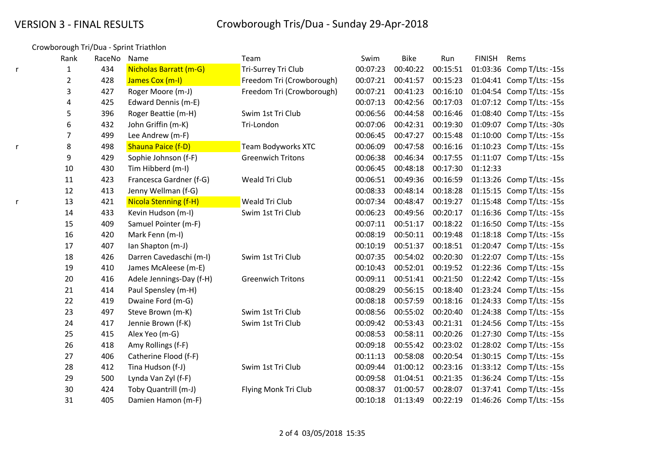# Crowborough Tri/Dua - Sprint Triathlon

|   | Rank           | RaceNo | Name                         | Team                      | Swim     | <b>Bike</b> | Run      | <b>FINISH</b> | Rems                      |
|---|----------------|--------|------------------------------|---------------------------|----------|-------------|----------|---------------|---------------------------|
|   | 1              | 434    | Nicholas Barratt (m-G)       | Tri-Surrey Tri Club       | 00:07:23 | 00:40:22    | 00:15:51 |               | 01:03:36 Comp T/Lts: -15s |
|   | $\overline{c}$ | 428    | James Cox (m-I)              | Freedom Tri (Crowborough) | 00:07:21 | 00:41:57    | 00:15:23 |               | 01:04:41 Comp T/Lts: -15s |
|   | 3              | 427    | Roger Moore (m-J)            | Freedom Tri (Crowborough) | 00:07:21 | 00:41:23    | 00:16:10 |               | 01:04:54 Comp T/Lts: -15s |
|   | 4              | 425    | Edward Dennis (m-E)          |                           | 00:07:13 | 00:42:56    | 00:17:03 |               | 01:07:12 Comp T/Lts: -15s |
|   | 5              | 396    | Roger Beattie (m-H)          | Swim 1st Tri Club         | 00:06:56 | 00:44:58    | 00:16:46 |               | 01:08:40 Comp T/Lts: -15s |
|   | 6              | 432    | John Griffin (m-K)           | Tri-London                | 00:07:06 | 00:42:31    | 00:19:30 | 01:09:07      | Comp T/Lts: -30s          |
|   | 7              | 499    | Lee Andrew (m-F)             |                           | 00:06:45 | 00:47:27    | 00:15:48 |               | 01:10:00 Comp T/Lts: -15s |
| r | 8              | 498    | Shauna Paice (f-D)           | Team Bodyworks XTC        | 00:06:09 | 00:47:58    | 00:16:16 |               | 01:10:23 Comp T/Lts: -15s |
|   | 9              | 429    | Sophie Johnson (f-F)         | <b>Greenwich Tritons</b>  | 00:06:38 | 00:46:34    | 00:17:55 |               | 01:11:07 Comp T/Lts: -15s |
|   | $10\,$         | 430    | Tim Hibberd (m-I)            |                           | 00:06:45 | 00:48:18    | 00:17:30 | 01:12:33      |                           |
|   | 11             | 423    | Francesca Gardner (f-G)      | Weald Tri Club            | 00:06:51 | 00:49:36    | 00:16:59 |               | 01:13:26 Comp T/Lts: -15s |
|   | 12             | 413    | Jenny Wellman (f-G)          |                           | 00:08:33 | 00:48:14    | 00:18:28 |               | 01:15:15 Comp T/Lts: -15s |
|   | 13             | 421    | <b>Nicola Stenning (f-H)</b> | Weald Tri Club            | 00:07:34 | 00:48:47    | 00:19:27 |               | 01:15:48 Comp T/Lts: -15s |
|   | 14             | 433    | Kevin Hudson (m-I)           | Swim 1st Tri Club         | 00:06:23 | 00:49:56    | 00:20:17 |               | 01:16:36 Comp T/Lts: -15s |
|   | 15             | 409    | Samuel Pointer (m-F)         |                           | 00:07:11 | 00:51:17    | 00:18:22 |               | 01:16:50 Comp T/Lts: -15s |
|   | 16             | 420    | Mark Fenn (m-I)              |                           | 00:08:19 | 00:50:11    | 00:19:48 |               | 01:18:18 Comp T/Lts: -15s |
|   | 17             | 407    | Ian Shapton (m-J)            |                           | 00:10:19 | 00:51:37    | 00:18:51 |               | 01:20:47 Comp T/Lts: -15s |
|   | 18             | 426    | Darren Cavedaschi (m-I)      | Swim 1st Tri Club         | 00:07:35 | 00:54:02    | 00:20:30 |               | 01:22:07 Comp T/Lts: -15s |
|   | 19             | 410    | James McAleese (m-E)         |                           | 00:10:43 | 00:52:01    | 00:19:52 |               | 01:22:36 Comp T/Lts: -15s |
|   | 20             | 416    | Adele Jennings-Day (f-H)     | <b>Greenwich Tritons</b>  | 00:09:11 | 00:51:41    | 00:21:50 |               | 01:22:42 Comp T/Lts: -15s |
|   | 21             | 414    | Paul Spensley (m-H)          |                           | 00:08:29 | 00:56:15    | 00:18:40 |               | 01:23:24 Comp T/Lts: -15s |
|   | 22             | 419    | Dwaine Ford (m-G)            |                           | 00:08:18 | 00:57:59    | 00:18:16 |               | 01:24:33 Comp T/Lts: -15s |
|   | 23             | 497    | Steve Brown (m-K)            | Swim 1st Tri Club         | 00:08:56 | 00:55:02    | 00:20:40 |               | 01:24:38 Comp T/Lts: -15s |
|   | 24             | 417    | Jennie Brown (f-K)           | Swim 1st Tri Club         | 00:09:42 | 00:53:43    | 00:21:31 |               | 01:24:56 Comp T/Lts: -15s |
|   | 25             | 415    | Alex Yeo (m-G)               |                           | 00:08:53 | 00:58:11    | 00:20:26 |               | 01:27:30 Comp T/Lts: -15s |
|   | 26             | 418    | Amy Rollings (f-F)           |                           | 00:09:18 | 00:55:42    | 00:23:02 |               | 01:28:02 Comp T/Lts: -15s |
|   | 27             | 406    | Catherine Flood (f-F)        |                           | 00:11:13 | 00:58:08    | 00:20:54 |               | 01:30:15 Comp T/Lts: -15s |
|   | 28             | 412    | Tina Hudson (f-J)            | Swim 1st Tri Club         | 00:09:44 | 01:00:12    | 00:23:16 |               | 01:33:12 Comp T/Lts: -15s |
|   | 29             | 500    | Lynda Van Zyl (f-F)          |                           | 00:09:58 | 01:04:51    | 00:21:35 |               | 01:36:24 Comp T/Lts: -15s |
|   | 30             | 424    | Toby Quantrill (m-J)         | Flying Monk Tri Club      | 00:08:37 | 01:00:57    | 00:28:07 |               | 01:37:41 Comp T/Lts: -15s |
|   | 31             | 405    | Damien Hamon (m-F)           |                           | 00:10:18 | 01:13:49    | 00:22:19 |               | 01:46:26 Comp T/Lts: -15s |